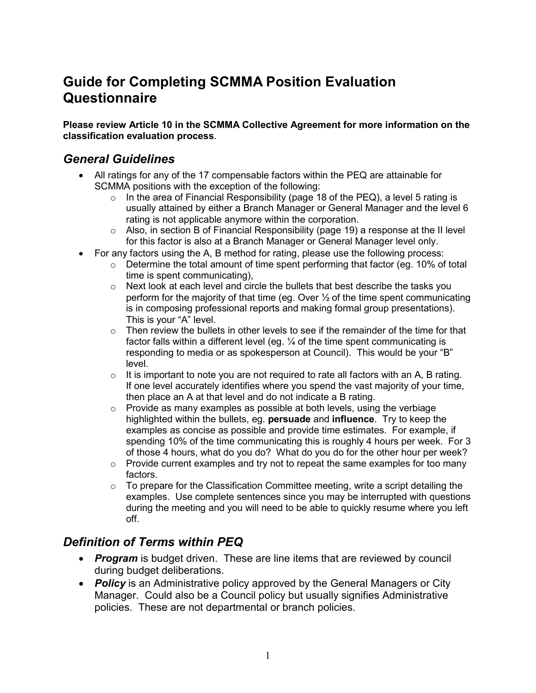# **Guide for Completing SCMMA Position Evaluation Questionnaire**

**Please review Article 10 in the SCMMA Collective Agreement for more information on the classification evaluation process**.

#### *General Guidelines*

- All ratings for any of the 17 compensable factors within the PEQ are attainable for SCMMA positions with the exception of the following:
	- $\circ$  In the area of Financial Responsibility (page 18 of the PEQ), a level 5 rating is usually attained by either a Branch Manager or General Manager and the level 6 rating is not applicable anymore within the corporation.
	- $\circ$  Also, in section B of Financial Responsibility (page 19) a response at the II level for this factor is also at a Branch Manager or General Manager level only.
- For any factors using the A, B method for rating, please use the following process:
	- $\circ$  Determine the total amount of time spent performing that factor (eg. 10% of total time is spent communicating),
	- o Next look at each level and circle the bullets that best describe the tasks you perform for the majority of that time (eq. Over  $\frac{1}{2}$  of the time spent communicating is in composing professional reports and making formal group presentations). This is your "A" level.
	- $\circ$  Then review the bullets in other levels to see if the remainder of the time for that factor falls within a different level (eg. ¼ of the time spent communicating is responding to media or as spokesperson at Council). This would be your "B" level.
	- $\circ$  It is important to note you are not required to rate all factors with an A, B rating. If one level accurately identifies where you spend the vast majority of your time, then place an A at that level and do not indicate a B rating.
	- $\circ$  Provide as many examples as possible at both levels, using the verbiage highlighted within the bullets, eg. **persuade** and **influence**. Try to keep the examples as concise as possible and provide time estimates. For example, if spending 10% of the time communicating this is roughly 4 hours per week. For 3 of those 4 hours, what do you do? What do you do for the other hour per week?
	- $\circ$  Provide current examples and try not to repeat the same examples for too many factors.
	- $\circ$  To prepare for the Classification Committee meeting, write a script detailing the examples. Use complete sentences since you may be interrupted with questions during the meeting and you will need to be able to quickly resume where you left off.

# *Definition of Terms within PEQ*

- *Program* is budget driven. These are line items that are reviewed by council during budget deliberations.
- **Policy** is an Administrative policy approved by the General Managers or City Manager. Could also be a Council policy but usually signifies Administrative policies. These are not departmental or branch policies.